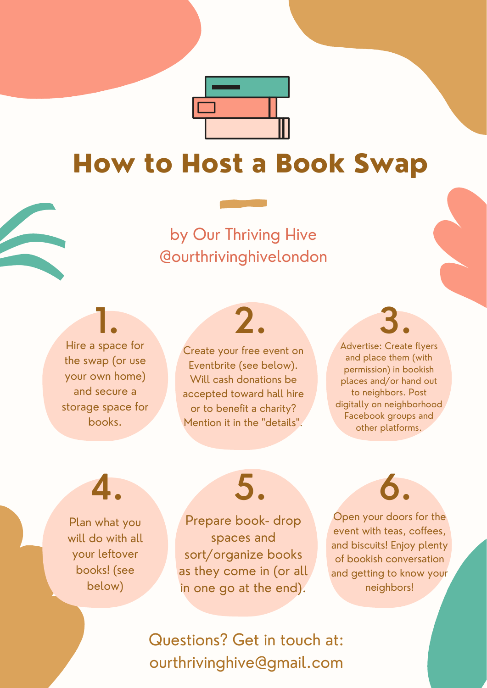by Our Thriving Hive @ourthrivinghivelondon

> Create your free event on Eventbrite (see below). Will cash donations be accepted toward hall hire or to benefit a charity? Mention it in the "details".



# How to Host a Book Swap

Questions? Get in touch at: ourthrivinghive@gmail.com

Advertise: Create flyers and place them (with permission) in bookish places and/or hand out to neighbors. Post digitally on neighborhood Facebook groups and other platforms. **1. 2. 3.**

Plan what you will do with all your leftover books! (see below)

Prepare book- drop spaces and sort/organize books as they come in (or all in one go at the end).

Open your doors for the event with teas, coffees, and biscuits! Enjoy plenty of bookish conversation and getting to know your neighbors!

**4. 5. 6.**

Hire a space for the swap (or use

your own home) and secure a storage space for books.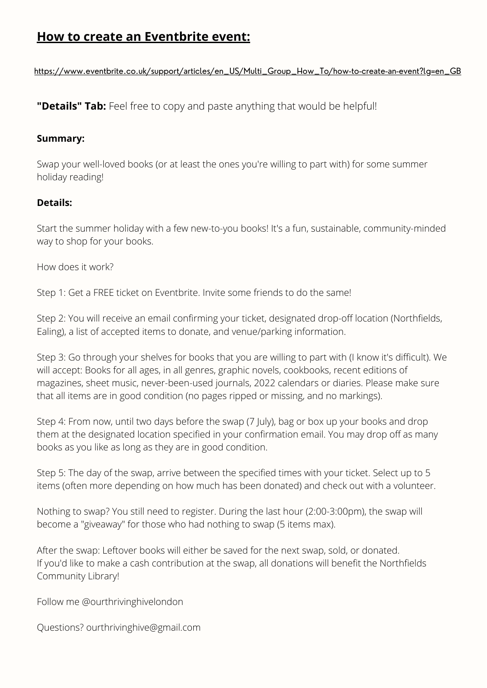## **How to create an Eventbrite event:**

[https://www.eventbrite.co.uk/support/articles/en\\_US/Multi\\_Group\\_How\\_To/how-to-create-an-event?lg=en\\_GB](https://www.eventbrite.co.uk/support/articles/en_US/Multi_Group_How_To/how-to-create-an-event?lg=en_GB)

#### **Summary:**

Swap your well-loved books (or at least the ones you're willing to part with) for some summer holiday reading!

#### **Details:**

Start the summer holiday with a few new-to-you books! It's a fun, sustainable, community-minded way to shop for your books.

How does it work?

Step 1: Get a FREE ticket on Eventbrite. Invite some friends to do the same!

Step 2: You will receive an email confirming your ticket, designated drop-off location (Northfields, Ealing), a list of accepted items to donate, and venue/parking information.

Step 3: Go through your shelves for books that you are willing to part with (I know it's difficult). We will accept: Books for all ages, in all genres, graphic novels, cookbooks, recent editions of magazines, sheet music, never-been-used journals, 2022 calendars or diaries. Please make sure that all items are in good condition (no pages ripped or missing, and no markings).

Step 4: From now, until two days before the swap (7 July), bag or box up your books and drop them at the designated location specified in your confirmation email. You may drop off as many books as you like as long as they are in good condition.

Step 5: The day of the swap, arrive between the specified times with your ticket. Select up to 5 items (often more depending on how much has been donated) and check out with a volunteer.

Nothing to swap? You still need to register. During the last hour (2:00-3:00pm), the swap will become a "giveaway" for those who had nothing to swap (5 items max).

After the swap: Leftover books will either be saved for the next swap, sold, or donated. If you'd like to make a cash contribution at the swap, all donations will benefit the Northfields Community Library!

Follow me @ourthrivinghivelondon

Questions? ourthrivinghive@gmail.com

**"Details" Tab:** Feel free to copy and paste anything that would be helpful!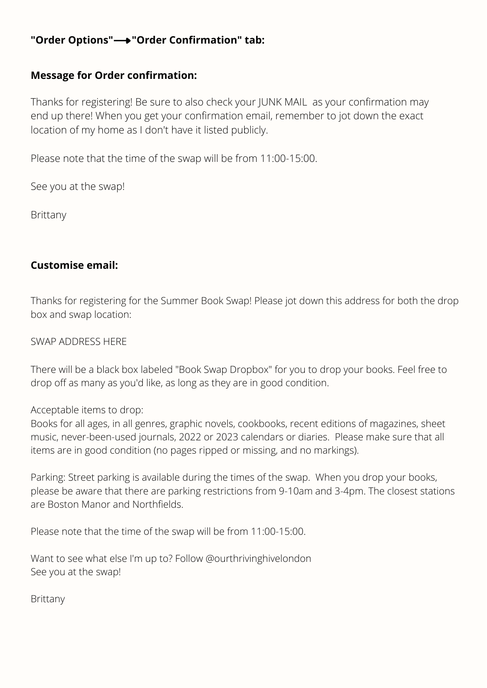## **"Order Options" "Order Confirmation" tab:**

Thanks for registering! Be sure to also check your JUNK MAIL as your confirmation may end up there! When you get your confirmation email, remember to jot down the exact location of my home as I don't have it listed publicly.

Please note that the time of the swap will be from 11:00-15:00.

See you at the swap!

**Brittany** 

### **Message for Order confirmation:**

### **Customise email:**

Thanks for registering for the Summer Book Swap! Please jot down this address for both the drop box and swap location:

### SWAP ADDRESS HERE

There will be a black box labeled "Book Swap Dropbox" for you to drop your books. Feel free to drop off as many as you'd like, as long as they are in good condition.

Acceptable items to drop:

Books for all ages, in all genres, graphic novels, cookbooks, recent editions of magazines, sheet music, never-been-used journals, 2022 or 2023 calendars or diaries. Please make sure that all items are in good condition (no pages ripped or missing, and no markings).

Parking: Street parking is available during the times of the swap. When you drop your books, please be aware that there are parking restrictions from 9-10am and 3-4pm. The closest stations are Boston Manor and Northfields.

Please note that the time of the swap will be from 11:00-15:00.

Want to see what else I'm up to? Follow @ourthrivinghivelondon See you at the swap!

Brittany